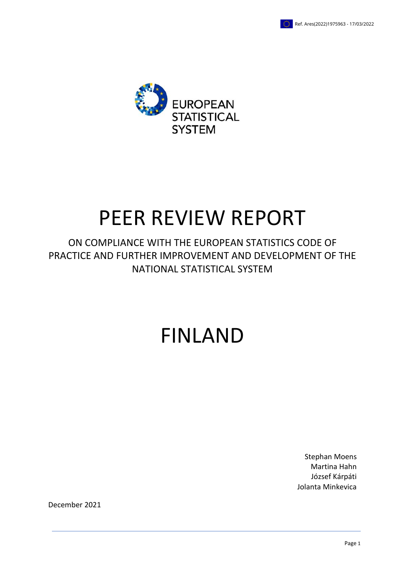

# PEER REVIEW REPORT

ON COMPLIANCE WITH THE EUROPEAN STATISTICS CODE OF PRACTICE AND FURTHER IMPROVEMENT AND DEVELOPMENT OF THE NATIONAL STATISTICAL SYSTEM

# FINLAND

Stephan Moens Martina Hahn József Kárpáti Jolanta Minkevica

December 2021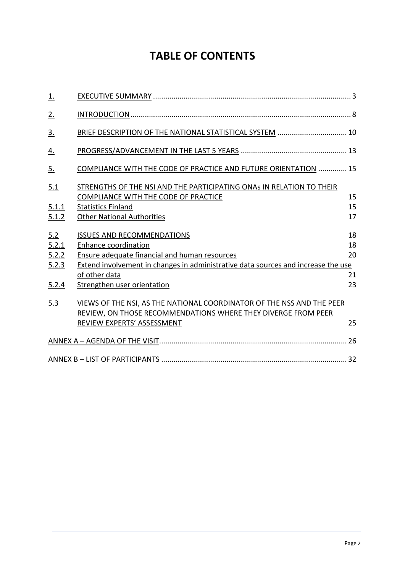# **TABLE OF CONTENTS**

| <u>1.</u>                      |                                                                                                                                                                                                        |                |
|--------------------------------|--------------------------------------------------------------------------------------------------------------------------------------------------------------------------------------------------------|----------------|
| 2.                             |                                                                                                                                                                                                        |                |
| $\underline{3}$ .              | BRIEF DESCRIPTION OF THE NATIONAL STATISTICAL SYSTEM  10                                                                                                                                               |                |
| <u>4.</u>                      |                                                                                                                                                                                                        |                |
| 5.                             | COMPLIANCE WITH THE CODE OF PRACTICE AND FUTURE ORIENTATION  15                                                                                                                                        |                |
| 5.1<br>5.1.1<br>5.1.2          | STRENGTHS OF THE NSI AND THE PARTICIPATING ONAS IN RELATION TO THEIR<br><b>COMPLIANCE WITH THE CODE OF PRACTICE</b><br><b>Statistics Finland</b><br><b>Other National Authorities</b>                  | 15<br>15<br>17 |
| 5.2<br>5.2.1<br>5.2.2<br>5.2.3 | <b>ISSUES AND RECOMMENDATIONS</b><br>Enhance coordination<br><b>Ensure adequate financial and human resources</b><br>Extend involvement in changes in administrative data sources and increase the use | 18<br>18<br>20 |
| 5.2.4                          | of other data<br>Strengthen user orientation                                                                                                                                                           | 21<br>23       |
| 5.3                            | VIEWS OF THE NSI, AS THE NATIONAL COORDINATOR OF THE NSS AND THE PEER<br>REVIEW, ON THOSE RECOMMENDATIONS WHERE THEY DIVERGE FROM PEER<br>REVIEW EXPERTS' ASSESSMENT                                   | 25             |
|                                |                                                                                                                                                                                                        |                |
|                                |                                                                                                                                                                                                        |                |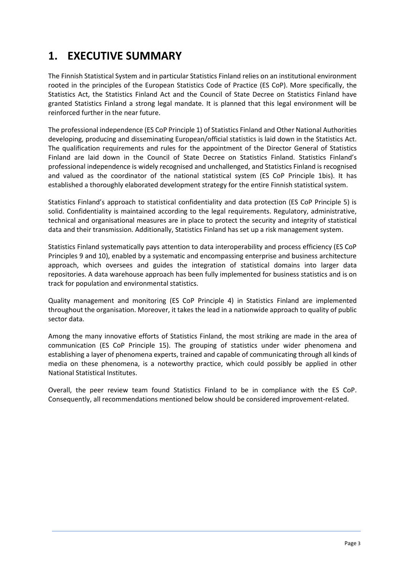# **1. EXECUTIVE SUMMARY**

The Finnish Statistical System and in particular Statistics Finland relies on an institutional environment rooted in the principles of the European Statistics Code of Practice (ES CoP). More specifically, the Statistics Act, the Statistics Finland Act and the Council of State Decree on Statistics Finland have granted Statistics Finland a strong legal mandate. It is planned that this legal environment will be reinforced further in the near future.

The professional independence (ES CoP Principle 1) of Statistics Finland and Other National Authorities developing, producing and disseminating European/official statistics is laid down in the Statistics Act. The qualification requirements and rules for the appointment of the Director General of Statistics Finland are laid down in the Council of State Decree on Statistics Finland. Statistics Finland's professional independence is widely recognised and unchallenged, and Statistics Finland is recognised and valued as the coordinator of the national statistical system (ES CoP Principle 1bis). It has established a thoroughly elaborated development strategy for the entire Finnish statistical system.

Statistics Finland's approach to statistical confidentiality and data protection (ES CoP Principle 5) is solid. Confidentiality is maintained according to the legal requirements. Regulatory, administrative, technical and organisational measures are in place to protect the security and integrity of statistical data and their transmission. Additionally, Statistics Finland has set up a risk management system.

Statistics Finland systematically pays attention to data interoperability and process efficiency (ES CoP Principles 9 and 10), enabled by a systematic and encompassing enterprise and business architecture approach, which oversees and guides the integration of statistical domains into larger data repositories. A data warehouse approach has been fully implemented for business statistics and is on track for population and environmental statistics.

Quality management and monitoring (ES CoP Principle 4) in Statistics Finland are implemented throughout the organisation. Moreover, it takes the lead in a nationwide approach to quality of public sector data.

Among the many innovative efforts of Statistics Finland, the most striking are made in the area of communication (ES CoP Principle 15). The grouping of statistics under wider phenomena and establishing a layer of phenomena experts, trained and capable of communicating through all kinds of media on these phenomena, is a noteworthy practice, which could possibly be applied in other National Statistical Institutes.

Overall, the peer review team found Statistics Finland to be in compliance with the ES CoP. Consequently, all recommendations mentioned below should be considered improvement-related.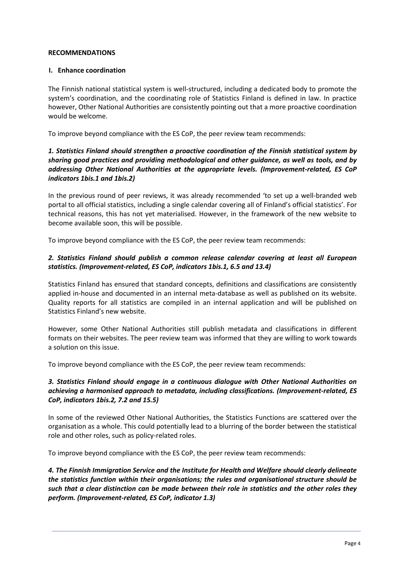#### **RECOMMENDATIONS**

#### **I. Enhance coordination**

The Finnish national statistical system is well-structured, including a dedicated body to promote the system's coordination, and the coordinating role of Statistics Finland is defined in law. In practice however, Other National Authorities are consistently pointing out that a more proactive coordination would be welcome.

To improve beyond compliance with the ES CoP, the peer review team recommends:

#### *1. Statistics Finland should strengthen a proactive coordination of the Finnish statistical system by sharing good practices and providing methodological and other guidance, as well as tools, and by addressing Other National Authorities at the appropriate levels. (Improvement-related, ES CoP indicators 1bis.1 and 1bis.2)*

In the previous round of peer reviews, it was already recommended 'to set up a well-branded web portal to all official statistics, including a single calendar covering all of Finland's official statistics'. For technical reasons, this has not yet materialised. However, in the framework of the new website to become available soon, this will be possible.

To improve beyond compliance with the ES CoP, the peer review team recommends:

#### *2. Statistics Finland should publish a common release calendar covering at least all European statistics. (Improvement-related, ES CoP, indicators 1bis.1, 6.5 and 13.4)*

Statistics Finland has ensured that standard concepts, definitions and classifications are consistently applied in-house and documented in an internal meta-database as well as published on its website. Quality reports for all statistics are compiled in an internal application and will be published on Statistics Finland's new website.

However, some Other National Authorities still publish metadata and classifications in different formats on their websites. The peer review team was informed that they are willing to work towards a solution on this issue.

To improve beyond compliance with the ES CoP, the peer review team recommends:

#### *3. Statistics Finland should engage in a continuous dialogue with Other National Authorities on achieving a harmonised approach to metadata, including classifications. (Improvement-related, ES CoP, indicators 1bis.2, 7.2 and 15.5)*

In some of the reviewed Other National Authorities, the Statistics Functions are scattered over the organisation as a whole. This could potentially lead to a blurring of the border between the statistical role and other roles, such as policy-related roles.

To improve beyond compliance with the ES CoP, the peer review team recommends:

*4. The Finnish Immigration Service and the Institute for Health and Welfare should clearly delineate the statistics function within their organisations; the rules and organisational structure should be such that a clear distinction can be made between their role in statistics and the other roles they perform. (Improvement-related, ES CoP, indicator 1.3)*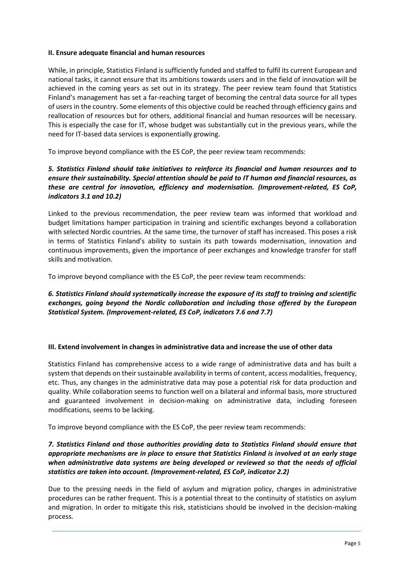#### **II. Ensure adequate financial and human resources**

While, in principle, Statistics Finland is sufficiently funded and staffed to fulfil its current European and national tasks, it cannot ensure that its ambitions towards users and in the field of innovation will be achieved in the coming years as set out in its strategy. The peer review team found that Statistics Finland's management has set a far-reaching target of becoming the central data source for all types of users in the country. Some elements of this objective could be reached through efficiency gains and reallocation of resources but for others, additional financial and human resources will be necessary. This is especially the case for IT, whose budget was substantially cut in the previous years, while the need for IT-based data services is exponentially growing.

To improve beyond compliance with the ES CoP, the peer review team recommends:

#### *5. Statistics Finland should take initiatives to reinforce its financial and human resources and to ensure their sustainability. Special attention should be paid to IT human and financial resources, as these are central for innovation, efficiency and modernisation. (Improvement-related, ES CoP, indicators 3.1 and 10.2)*

Linked to the previous recommendation, the peer review team was informed that workload and budget limitations hamper participation in training and scientific exchanges beyond a collaboration with selected Nordic countries. At the same time, the turnover of staff has increased. This poses a risk in terms of Statistics Finland's ability to sustain its path towards modernisation, innovation and continuous improvements, given the importance of peer exchanges and knowledge transfer for staff skills and motivation.

To improve beyond compliance with the ES CoP, the peer review team recommends:

#### *6. Statistics Finland should systematically increase the exposure of its staff to training and scientific exchanges, going beyond the Nordic collaboration and including those offered by the European Statistical System. (Improvement-related, ES CoP, indicators 7.6 and 7.7)*

#### **III. Extend involvement in changes in administrative data and increase the use of other data**

Statistics Finland has comprehensive access to a wide range of administrative data and has built a system that depends on their sustainable availability in terms of content, access modalities, frequency, etc. Thus, any changes in the administrative data may pose a potential risk for data production and quality. While collaboration seems to function well on a bilateral and informal basis, more structured and guaranteed involvement in decision-making on administrative data, including foreseen modifications, seems to be lacking.

To improve beyond compliance with the ES CoP, the peer review team recommends:

#### *7. Statistics Finland and those authorities providing data to Statistics Finland should ensure that appropriate mechanisms are in place to ensure that Statistics Finland is involved at an early stage when administrative data systems are being developed or reviewed so that the needs of official statistics are taken into account. (Improvement-related, ES CoP, indicator 2.2)*

Due to the pressing needs in the field of asylum and migration policy, changes in administrative procedures can be rather frequent. This is a potential threat to the continuity of statistics on asylum and migration. In order to mitigate this risk, statisticians should be involved in the decision-making process.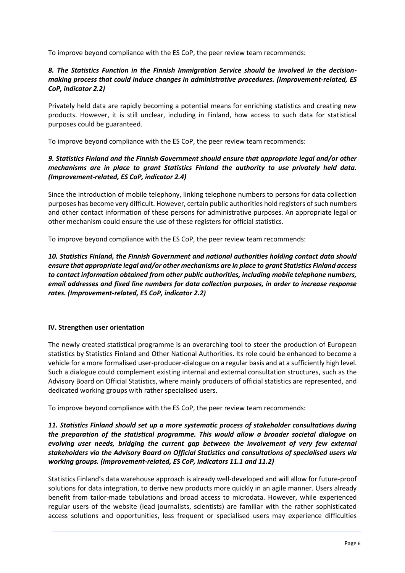To improve beyond compliance with the ES CoP, the peer review team recommends:

#### *8. The Statistics Function in the Finnish Immigration Service should be involved in the decisionmaking process that could induce changes in administrative procedures. (Improvement-related, ES CoP, indicator 2.2)*

Privately held data are rapidly becoming a potential means for enriching statistics and creating new products. However, it is still unclear, including in Finland, how access to such data for statistical purposes could be guaranteed.

To improve beyond compliance with the ES CoP, the peer review team recommends:

#### *9. Statistics Finland and the Finnish Government should ensure that appropriate legal and/or other mechanisms are in place to grant Statistics Finland the authority to use privately held data. (Improvement-related, ES CoP, indicator 2.4)*

Since the introduction of mobile telephony, linking telephone numbers to persons for data collection purposes has become very difficult. However, certain public authorities hold registers of such numbers and other contact information of these persons for administrative purposes. An appropriate legal or other mechanism could ensure the use of these registers for official statistics.

To improve beyond compliance with the ES CoP, the peer review team recommends:

#### *10. Statistics Finland, the Finnish Government and national authorities holding contact data should ensure that appropriate legal and/or other mechanisms are in place to grant Statistics Finland access to contact information obtained from other public authorities, including mobile telephone numbers, email addresses and fixed line numbers for data collection purposes, in order to increase response rates. (Improvement-related, ES CoP, indicator 2.2)*

#### **IV. Strengthen user orientation**

The newly created statistical programme is an overarching tool to steer the production of European statistics by Statistics Finland and Other National Authorities. Its role could be enhanced to become a vehicle for a more formalised user-producer-dialogue on a regular basis and at a sufficiently high level. Such a dialogue could complement existing internal and external consultation structures, such as the Advisory Board on Official Statistics, where mainly producers of official statistics are represented, and dedicated working groups with rather specialised users.

To improve beyond compliance with the ES CoP, the peer review team recommends:

#### *11. Statistics Finland should set up a more systematic process of stakeholder consultations during the preparation of the statistical programme. This would allow a broader societal dialogue on evolving user needs, bridging the current gap between the involvement of very few external stakeholders via the Advisory Board on Official Statistics and consultations of specialised users via working groups. (Improvement-related, ES CoP, indicators 11.1 and 11.2)*

Statistics Finland's data warehouse approach is already well-developed and will allow for future-proof solutions for data integration, to derive new products more quickly in an agile manner. Users already benefit from tailor-made tabulations and broad access to microdata. However, while experienced regular users of the website (lead journalists, scientists) are familiar with the rather sophisticated access solutions and opportunities, less frequent or specialised users may experience difficulties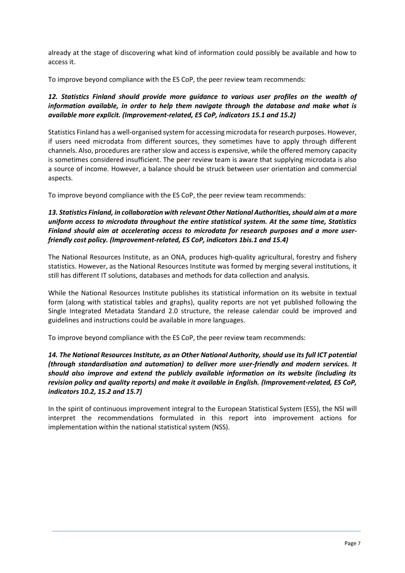already at the stage of discovering what kind of information could possibly be available and how to access it.

To improve beyond compliance with the ES CoP, the peer review team recommends:

#### *12. Statistics Finland should provide more guidance to various user profiles on the wealth of information available, in order to help them navigate through the database and make what is available more explicit. (Improvement-related, ES CoP, indicators 15.1 and 15.2)*

Statistics Finland has a well-organised system for accessing microdata for research purposes. However, if users need microdata from different sources, they sometimes have to apply through different channels. Also, procedures are rather slow and access is expensive, while the offered memory capacity is sometimes considered insufficient. The peer review team is aware that supplying microdata is also a source of income. However, a balance should be struck between user orientation and commercial aspects.

To improve beyond compliance with the ES CoP, the peer review team recommends:

#### *13. Statistics Finland, in collaboration with relevantOther National Authorities,should aim at a more uniform access to microdata throughout the entire statistical system. At the same time, Statistics Finland should aim at accelerating access to microdata for research purposes and a more userfriendly cost policy. (Improvement-related, ES CoP, indicators 1bis.1 and 15.4)*

The National Resources Institute, as an ONA, produces high-quality agricultural, forestry and fishery statistics. However, as the National Resources Institute was formed by merging several institutions, it still has different IT solutions, databases and methods for data collection and analysis.

While the National Resources Institute publishes its statistical information on its website in textual form (along with statistical tables and graphs), quality reports are not yet published following the Single Integrated Metadata Standard 2.0 structure, the release calendar could be improved and guidelines and instructions could be available in more languages.

To improve beyond compliance with the ES CoP, the peer review team recommends:

#### *14. The National Resources Institute, as an Other National Authority, should use its full ICT potential (through standardisation and automation) to deliver more user-friendly and modern services. It should also improve and extend the publicly available information on its website (including its revision policy and quality reports) and make it available in English. (Improvement-related, ES CoP, indicators 10.2, 15.2 and 15.7)*

In the spirit of continuous improvement integral to the European Statistical System (ESS), the NSI will interpret the recommendations formulated in this report into improvement actions for implementation within the national statistical system (NSS).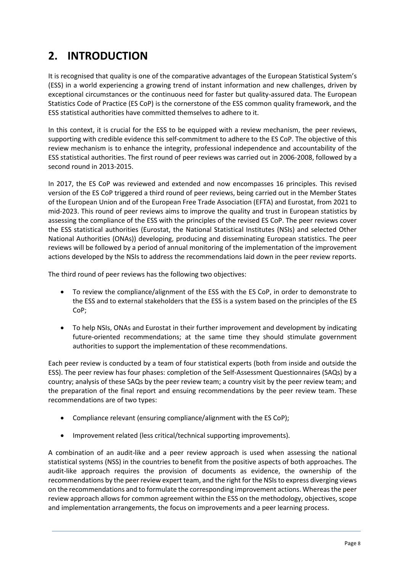# **2. INTRODUCTION**

It is recognised that quality is one of the comparative advantages of the European Statistical System's (ESS) in a world experiencing a growing trend of instant information and new challenges, driven by exceptional circumstances or the continuous need for faster but quality-assured data. The European Statistics Code of Practice (ES CoP) is the cornerstone of the ESS common quality framework, and the ESS statistical authorities have committed themselves to adhere to it.

In this context, it is crucial for the ESS to be equipped with a review mechanism, the peer reviews, supporting with credible evidence this self-commitment to adhere to the ES CoP. The objective of this review mechanism is to enhance the integrity, professional independence and accountability of the ESS statistical authorities. The first round of peer reviews was carried out in 2006-2008, followed by a second round in 2013-2015.

In 2017, the ES CoP was reviewed and extended and now encompasses 16 principles. This revised version of the ES CoP triggered a third round of peer reviews, being carried out in the Member States of the European Union and of the European Free Trade Association (EFTA) and Eurostat, from 2021 to mid-2023. This round of peer reviews aims to improve the quality and trust in European statistics by assessing the compliance of the ESS with the principles of the revised ES CoP. The peer reviews cover the ESS statistical authorities (Eurostat, the National Statistical Institutes (NSIs) and selected Other National Authorities (ONAs)) developing, producing and disseminating European statistics. The peer reviews will be followed by a period of annual monitoring of the implementation of the improvement actions developed by the NSIs to address the recommendations laid down in the peer review reports.

The third round of peer reviews has the following two objectives:

- To review the compliance/alignment of the ESS with the ES CoP, in order to demonstrate to the ESS and to external stakeholders that the ESS is a system based on the principles of the ES CoP;
- To help NSIs, ONAs and Eurostat in their further improvement and development by indicating future-oriented recommendations; at the same time they should stimulate government authorities to support the implementation of these recommendations.

Each peer review is conducted by a team of four statistical experts (both from inside and outside the ESS). The peer review has four phases: completion of the Self-Assessment Questionnaires (SAQs) by a country; analysis of these SAQs by the peer review team; a country visit by the peer review team; and the preparation of the final report and ensuing recommendations by the peer review team. These recommendations are of two types:

- Compliance relevant (ensuring compliance/alignment with the ES CoP);
- Improvement related (less critical/technical supporting improvements).

A combination of an audit-like and a peer review approach is used when assessing the national statistical systems (NSS) in the countries to benefit from the positive aspects of both approaches. The audit-like approach requires the provision of documents as evidence, the ownership of the recommendations by the peer review expert team, and the right for the NSIs to express diverging views on the recommendations and to formulate the corresponding improvement actions. Whereas the peer review approach allows for common agreement within the ESS on the methodology, objectives, scope and implementation arrangements, the focus on improvements and a peer learning process.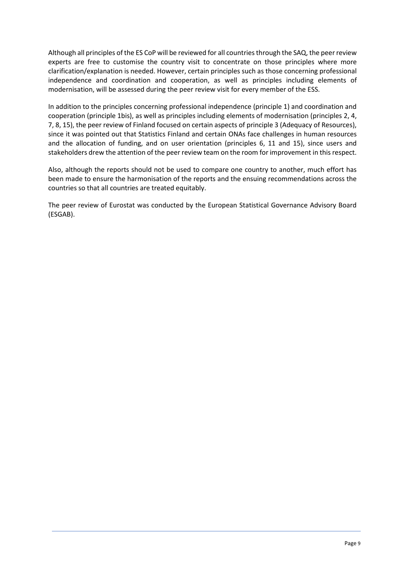Although all principles of the ES CoP will be reviewed for all countries through the SAQ, the peer review experts are free to customise the country visit to concentrate on those principles where more clarification/explanation is needed. However, certain principles such as those concerning professional independence and coordination and cooperation, as well as principles including elements of modernisation, will be assessed during the peer review visit for every member of the ESS.

In addition to the principles concerning professional independence (principle 1) and coordination and cooperation (principle 1bis), as well as principles including elements of modernisation (principles 2, 4, 7, 8, 15), the peer review of Finland focused on certain aspects of principle 3 (Adequacy of Resources), since it was pointed out that Statistics Finland and certain ONAs face challenges in human resources and the allocation of funding, and on user orientation (principles 6, 11 and 15), since users and stakeholders drew the attention of the peer review team on the room for improvement in this respect.

Also, although the reports should not be used to compare one country to another, much effort has been made to ensure the harmonisation of the reports and the ensuing recommendations across the countries so that all countries are treated equitably.

The peer review of Eurostat was conducted by the European Statistical Governance Advisory Board (ESGAB).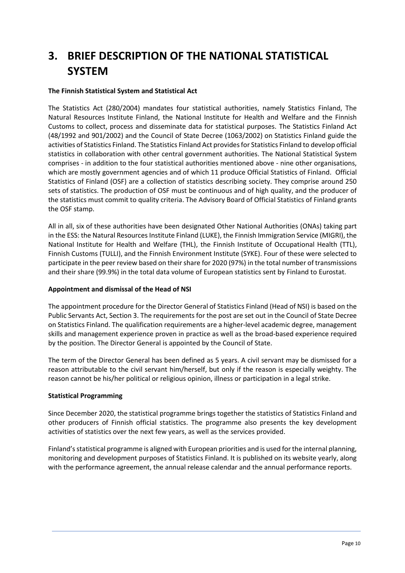# **3. BRIEF DESCRIPTION OF THE NATIONAL STATISTICAL SYSTEM**

#### **The Finnish Statistical System and Statistical Act**

The Statistics Act (280/2004) mandates four statistical authorities, namely Statistics Finland, The Natural Resources Institute Finland, the National Institute for Health and Welfare and the Finnish Customs to collect, process and disseminate data for statistical purposes. The Statistics Finland Act (48/1992 and 901/2002) and the Council of State Decree (1063/2002) on Statistics Finland guide the activities of Statistics Finland. The Statistics Finland Act provides for Statistics Finland to develop official statistics in collaboration with other central government authorities. The National Statistical System comprises - in addition to the four statistical authorities mentioned above - nine other organisations, which are mostly government agencies and of which 11 produce Official Statistics of Finland. Official Statistics of Finland (OSF) are a collection of statistics describing society. They comprise around 250 sets of statistics. The production of OSF must be continuous and of high quality, and the producer of the statistics must commit to quality criteria. The Advisory Board of Official Statistics of Finland grants the OSF stamp.

All in all, six of these authorities have been designated Other National Authorities (ONAs) taking part in the ESS: the Natural Resources Institute Finland (LUKE), the Finnish Immigration Service (MIGRI), the National Institute for Health and Welfare (THL), the Finnish Institute of Occupational Health (TTL), Finnish Customs (TULLI), and the Finnish Environment Institute (SYKE). Four of these were selected to participate in the peer review based on their share for 2020 (97%) in the total number of transmissions and their share (99.9%) in the total data volume of European statistics sent by Finland to Eurostat.

#### **Appointment and dismissal of the Head of NSI**

The appointment procedure for the Director General of Statistics Finland (Head of NSI) is based on the Public Servants Act, Section 3. The requirements for the post are set out in the Council of State Decree on Statistics Finland. The qualification requirements are a higher-level academic degree, management skills and management experience proven in practice as well as the broad-based experience required by the position. The Director General is appointed by the Council of State.

The term of the Director General has been defined as 5 years. A civil servant may be dismissed for a reason attributable to the civil servant him/herself, but only if the reason is especially weighty. The reason cannot be his/her political or religious opinion, illness or participation in a legal strike.

#### **Statistical Programming**

Since December 2020, the statistical programme brings together the statistics of Statistics Finland and other producers of Finnish official statistics. The programme also presents the key development activities of statistics over the next few years, as well as the services provided.

Finland's statistical programme is aligned with European priorities and is used for the internal planning, monitoring and development purposes of Statistics Finland. It is published on its website yearly, along with the performance agreement, the annual release calendar and the annual performance reports.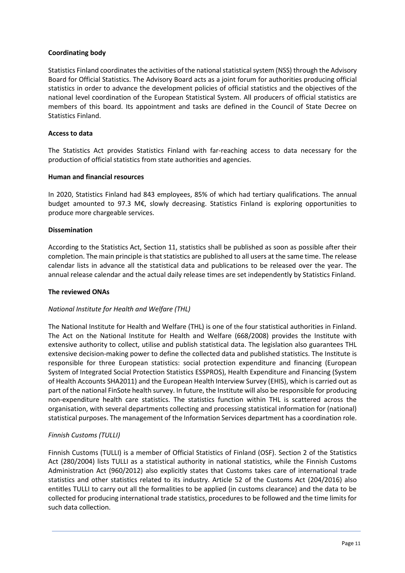#### **Coordinating body**

Statistics Finland coordinates the activities of the national statistical system (NSS) through the Advisory Board for Official Statistics. The Advisory Board acts as a joint forum for authorities producing official statistics in order to advance the development policies of official statistics and the objectives of the national level coordination of the European Statistical System. All producers of official statistics are members of this board. Its appointment and tasks are defined in the Council of State Decree on Statistics Finland.

#### **Access to data**

The Statistics Act provides Statistics Finland with far-reaching access to data necessary for the production of official statistics from state authorities and agencies.

#### **Human and financial resources**

In 2020, Statistics Finland had 843 employees, 85% of which had tertiary qualifications. The annual budget amounted to 97.3 M€, slowly decreasing. Statistics Finland is exploring opportunities to produce more chargeable services.

#### **Dissemination**

According to the Statistics Act, Section 11, statistics shall be published as soon as possible after their completion. The main principle is that statistics are published to all users at the same time. The release calendar lists in advance all the statistical data and publications to be released over the year. The annual release calendar and the actual daily release times are set independently by Statistics Finland.

#### **The reviewed ONAs**

#### *National Institute for Health and Welfare (THL)*

The National Institute for Health and Welfare (THL) is one of the four statistical authorities in Finland. The Act on the National Institute for Health and Welfare (668/2008) provides the Institute with extensive authority to collect, utilise and publish statistical data. The legislation also guarantees THL extensive decision-making power to define the collected data and published statistics. The Institute is responsible for three European statistics: social protection expenditure and financing (European System of Integrated Social Protection Statistics ESSPROS), Health Expenditure and Financing (System of Health Accounts SHA2011) and the European Health Interview Survey (EHIS), which is carried out as part of the national FinSote health survey. In future, the Institute will also be responsible for producing non-expenditure health care statistics. The statistics function within THL is scattered across the organisation, with several departments collecting and processing statistical information for (national) statistical purposes. The management of the Information Services department has a coordination role.

#### *Finnish Customs (TULLI)*

Finnish Customs (TULLI) is a member of Official Statistics of Finland (OSF). Section 2 of the Statistics Act (280/2004) lists TULLI as a statistical authority in national statistics, while the Finnish Customs Administration Act (960/2012) also explicitly states that Customs takes care of international trade statistics and other statistics related to its industry. Article 52 of the Customs Act (204/2016) also entitles TULLI to carry out all the formalities to be applied (in customs clearance) and the data to be collected for producing international trade statistics, procedures to be followed and the time limits for such data collection.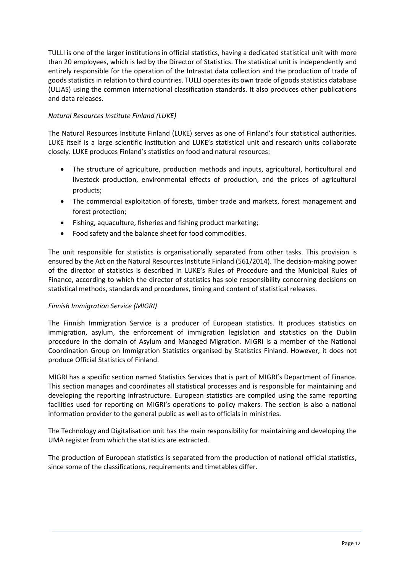TULLI is one of the larger institutions in official statistics, having a dedicated statistical unit with more than 20 employees, which is led by the Director of Statistics. The statistical unit is independently and entirely responsible for the operation of the Intrastat data collection and the production of trade of goods statistics in relation to third countries. TULLI operates its own trade of goods statistics database (ULJAS) using the common international classification standards. It also produces other publications and data releases.

#### *Natural Resources Institute Finland (LUKE)*

The Natural Resources Institute Finland (LUKE) serves as one of Finland's four statistical authorities. LUKE itself is a large scientific institution and LUKE's statistical unit and research units collaborate closely. LUKE produces Finland's statistics on food and natural resources:

- The structure of agriculture, production methods and inputs, agricultural, horticultural and livestock production, environmental effects of production, and the prices of agricultural products;
- The commercial exploitation of forests, timber trade and markets, forest management and forest protection;
- Fishing, aquaculture, fisheries and fishing product marketing;
- Food safety and the balance sheet for food commodities.

The unit responsible for statistics is organisationally separated from other tasks. This provision is ensured by the Act on the Natural Resources Institute Finland (561/2014). The decision-making power of the director of statistics is described in LUKE's Rules of Procedure and the Municipal Rules of Finance, according to which the director of statistics has sole responsibility concerning decisions on statistical methods, standards and procedures, timing and content of statistical releases.

#### *Finnish Immigration Service (MIGRI)*

The Finnish Immigration Service is a producer of European statistics. It produces statistics on immigration, asylum, the enforcement of immigration legislation and statistics on the Dublin procedure in the domain of Asylum and Managed Migration. MIGRI is a member of the National Coordination Group on Immigration Statistics organised by Statistics Finland. However, it does not produce Official Statistics of Finland.

MIGRI has a specific section named Statistics Services that is part of MIGRI's Department of Finance. This section manages and coordinates all statistical processes and is responsible for maintaining and developing the reporting infrastructure. European statistics are compiled using the same reporting facilities used for reporting on MIGRI's operations to policy makers. The section is also a national information provider to the general public as well as to officials in ministries.

The Technology and Digitalisation unit has the main responsibility for maintaining and developing the UMA register from which the statistics are extracted.

The production of European statistics is separated from the production of national official statistics, since some of the classifications, requirements and timetables differ.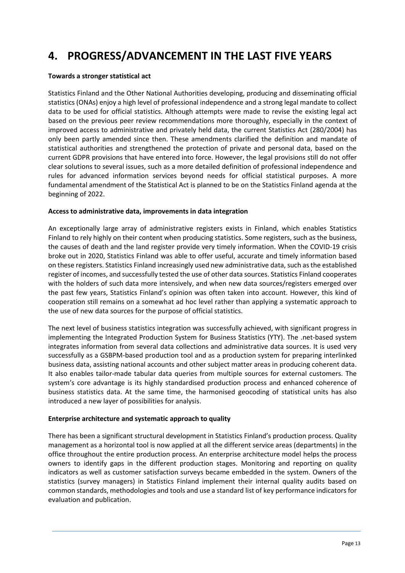# **4. PROGRESS/ADVANCEMENT IN THE LAST FIVE YEARS**

#### **Towards a stronger statistical act**

Statistics Finland and the Other National Authorities developing, producing and disseminating official statistics (ONAs) enjoy a high level of professional independence and a strong legal mandate to collect data to be used for official statistics. Although attempts were made to revise the existing legal act based on the previous peer review recommendations more thoroughly, especially in the context of improved access to administrative and privately held data, the current Statistics Act (280/2004) has only been partly amended since then. These amendments clarified the definition and mandate of statistical authorities and strengthened the protection of private and personal data, based on the current GDPR provisions that have entered into force. However, the legal provisions still do not offer clear solutions to several issues, such as a more detailed definition of professional independence and rules for advanced information services beyond needs for official statistical purposes. A more fundamental amendment of the Statistical Act is planned to be on the Statistics Finland agenda at the beginning of 2022.

#### **Access to administrative data, improvements in data integration**

An exceptionally large array of administrative registers exists in Finland, which enables Statistics Finland to rely highly on their content when producing statistics. Some registers, such as the business, the causes of death and the land register provide very timely information. When the COVID-19 crisis broke out in 2020, Statistics Finland was able to offer useful, accurate and timely information based on these registers. Statistics Finland increasingly used new administrative data, such as the established register of incomes, and successfully tested the use of other data sources. Statistics Finland cooperates with the holders of such data more intensively, and when new data sources/registers emerged over the past few years, Statistics Finland's opinion was often taken into account. However, this kind of cooperation still remains on a somewhat ad hoc level rather than applying a systematic approach to the use of new data sources for the purpose of official statistics.

The next level of business statistics integration was successfully achieved, with significant progress in implementing the Integrated Production System for Business Statistics (YTY). The .net-based system integrates information from several data collections and administrative data sources. It is used very successfully as a GSBPM-based production tool and as a production system for preparing interlinked business data, assisting national accounts and other subject matter areas in producing coherent data. It also enables tailor-made tabular data queries from multiple sources for external customers. The system's core advantage is its highly standardised production process and enhanced coherence of business statistics data. At the same time, the harmonised geocoding of statistical units has also introduced a new layer of possibilities for analysis.

#### **Enterprise architecture and systematic approach to quality**

There has been a significant structural development in Statistics Finland's production process. Quality management as a horizontal tool is now applied at all the different service areas (departments) in the office throughout the entire production process. An enterprise architecture model helps the process owners to identify gaps in the different production stages. Monitoring and reporting on quality indicators as well as customer satisfaction surveys became embedded in the system. Owners of the statistics (survey managers) in Statistics Finland implement their internal quality audits based on common standards, methodologies and tools and use a standard list of key performance indicators for evaluation and publication.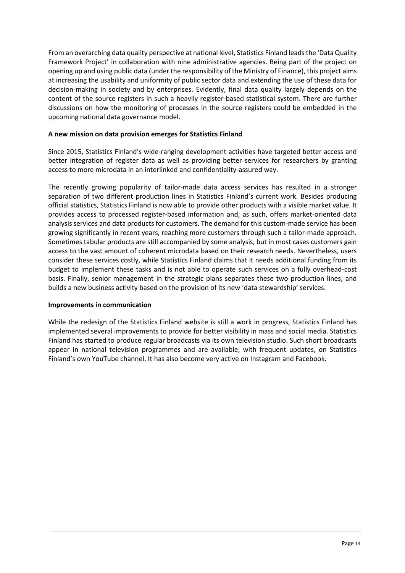From an overarching data quality perspective at national level, Statistics Finland leadsthe 'Data Quality Framework Project' in collaboration with nine administrative agencies. Being part of the project on opening up and using public data (under the responsibility of the Ministry of Finance), this project aims at increasing the usability and uniformity of public sector data and extending the use of these data for decision-making in society and by enterprises. Evidently, final data quality largely depends on the content of the source registers in such a heavily register-based statistical system. There are further discussions on how the monitoring of processes in the source registers could be embedded in the upcoming national data governance model.

#### **A new mission on data provision emerges for Statistics Finland**

Since 2015, Statistics Finland's wide-ranging development activities have targeted better access and better integration of register data as well as providing better services for researchers by granting access to more microdata in an interlinked and confidentiality-assured way.

The recently growing popularity of tailor-made data access services has resulted in a stronger separation of two different production lines in Statistics Finland's current work. Besides producing official statistics, Statistics Finland is now able to provide other products with a visible market value. It provides access to processed register-based information and, as such, offers market-oriented data analysis services and data products for customers. The demand for this custom-made service has been growing significantly in recent years, reaching more customers through such a tailor-made approach. Sometimes tabular products are still accompanied by some analysis, but in most cases customers gain access to the vast amount of coherent microdata based on their research needs. Nevertheless, users consider these services costly, while Statistics Finland claims that it needs additional funding from its budget to implement these tasks and is not able to operate such services on a fully overhead-cost basis. Finally, senior management in the strategic plans separates these two production lines, and builds a new business activity based on the provision of its new 'data stewardship' services.

#### **Improvements in communication**

While the redesign of the Statistics Finland website is still a work in progress, Statistics Finland has implemented several improvements to provide for better visibility in mass and social media. Statistics Finland has started to produce regular broadcasts via its own television studio. Such short broadcasts appear in national television programmes and are available, with frequent updates, on Statistics Finland's own YouTube channel. It has also become very active on Instagram and Facebook.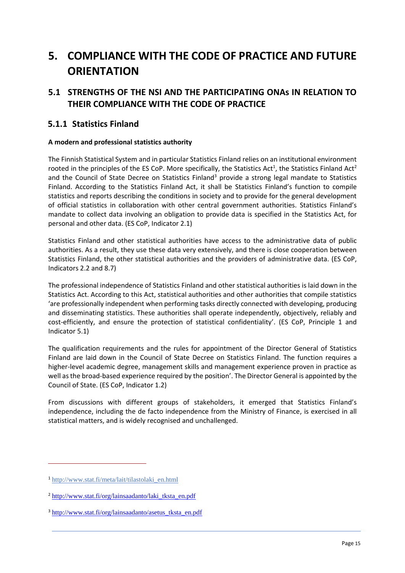# **5. COMPLIANCE WITH THE CODE OF PRACTICE AND FUTURE ORIENTATION**

## **5.1 STRENGTHS OF THE NSI AND THE PARTICIPATING ONAs IN RELATION TO THEIR COMPLIANCE WITH THE CODE OF PRACTICE**

### **5.1.1 Statistics Finland**

#### **A modern and professional statistics authority**

The Finnish Statistical System and in particular Statistics Finland relies on an institutional environment rooted in the principles of the ES CoP. More specifically, the Statistics Act<sup>1</sup>, the Statistics Finland Act<sup>2</sup> and the Council of State Decree on Statistics Finland<sup>3</sup> provide a strong legal mandate to Statistics Finland. According to the Statistics Finland Act, it shall be Statistics Finland's function to compile statistics and reports describing the conditions in society and to provide for the general development of official statistics in collaboration with other central government authorities. Statistics Finland's mandate to collect data involving an obligation to provide data is specified in the Statistics Act, for personal and other data. (ES CoP, Indicator 2.1)

Statistics Finland and other statistical authorities have access to the administrative data of public authorities. As a result, they use these data very extensively, and there is close cooperation between Statistics Finland, the other statistical authorities and the providers of administrative data. (ES CoP, Indicators 2.2 and 8.7)

The professional independence of Statistics Finland and other statistical authorities is laid down in the Statistics Act. According to this Act, statistical authorities and other authorities that compile statistics 'are professionally independent when performing tasks directly connected with developing, producing and disseminating statistics. These authorities shall operate independently, objectively, reliably and cost-efficiently, and ensure the protection of statistical confidentiality'. (ES CoP, Principle 1 and Indicator 5.1)

The qualification requirements and the rules for appointment of the Director General of Statistics Finland are laid down in the Council of State Decree on Statistics Finland. The function requires a higher-level academic degree, management skills and management experience proven in practice as well as the broad-based experience required by the position'. The Director General is appointed by the Council of State. (ES CoP, Indicator 1.2)

From discussions with different groups of stakeholders, it emerged that Statistics Finland's independence, including the de facto independence from the Ministry of Finance, is exercised in all statistical matters, and is widely recognised and unchallenged.

 $\overline{a}$ 

<sup>1</sup> [http://www.stat.fi/meta/lait/tilastolaki\\_en.html](about:blank)

 $2$  [http://www.stat.fi/org/lainsaadanto/laki\\_tksta\\_en.pdf](about:blank)

<sup>3</sup> [http://www.stat.fi/org/lainsaadanto/asetus\\_tksta\\_en.pdf](about:blank)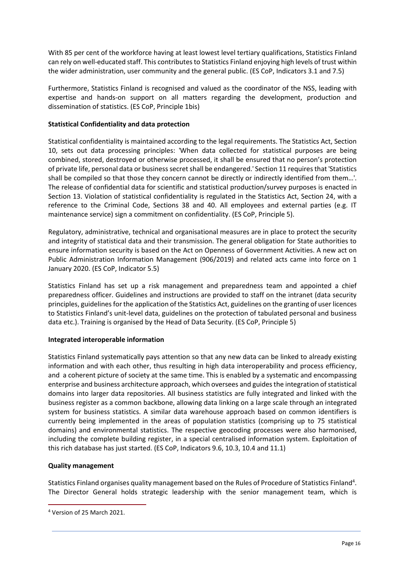With 85 per cent of the workforce having at least lowest level tertiary qualifications, Statistics Finland can rely on well-educated staff. This contributes to Statistics Finland enjoying high levels of trust within the wider administration, user community and the general public. (ES CoP, Indicators 3.1 and 7.5)

Furthermore, Statistics Finland is recognised and valued as the coordinator of the NSS, leading with expertise and hands-on support on all matters regarding the development, production and dissemination of statistics. (ES CoP, Principle 1bis)

#### **Statistical Confidentiality and data protection**

Statistical confidentiality is maintained according to the legal requirements. The Statistics Act, Section 10, sets out data processing principles: 'When data collected for statistical purposes are being combined, stored, destroyed or otherwise processed, it shall be ensured that no person's protection of private life, personal data or business secret shall be endangered.' Section 11 requires that 'Statistics shall be compiled so that those they concern cannot be directly or indirectly identified from them…'. The release of confidential data for scientific and statistical production/survey purposes is enacted in Section 13. Violation of statistical confidentiality is regulated in the Statistics Act, Section 24, with a reference to the Criminal Code, Sections 38 and 40. All employees and external parties (e.g. IT maintenance service) sign a commitment on confidentiality. (ES CoP, Principle 5).

Regulatory, administrative, technical and organisational measures are in place to protect the security and integrity of statistical data and their transmission. The general obligation for State authorities to ensure information security is based on the Act on Openness of Government Activities. A new act on Public Administration Information Management (906/2019) and related acts came into force on 1 January 2020. (ES CoP, Indicator 5.5)

Statistics Finland has set up a risk management and preparedness team and appointed a chief preparedness officer. Guidelines and instructions are provided to staff on the intranet (data security principles, guidelines for the application of the Statistics Act, guidelines on the granting of user licences to Statistics Finland's unit-level data, guidelines on the protection of tabulated personal and business data etc.). Training is organised by the Head of Data Security. (ES CoP, Principle 5)

#### **Integrated interoperable information**

Statistics Finland systematically pays attention so that any new data can be linked to already existing information and with each other, thus resulting in high data interoperability and process efficiency, and a coherent picture of society at the same time. This is enabled by a systematic and encompassing enterprise and business architecture approach, which oversees and guides the integration of statistical domains into larger data repositories. All business statistics are fully integrated and linked with the business register as a common backbone, allowing data linking on a large scale through an integrated system for business statistics. A similar data warehouse approach based on common identifiers is currently being implemented in the areas of population statistics (comprising up to 75 statistical domains) and environmental statistics. The respective geocoding processes were also harmonised, including the complete building register, in a special centralised information system. Exploitation of this rich database has just started. (ES CoP, Indicators 9.6, 10.3, 10.4 and 11.1)

#### **Quality management**

Statistics Finland organises quality management based on the Rules of Procedure of Statistics Finland<sup>4</sup>. The Director General holds strategic leadership with the senior management team, which is

 $\overline{a}$ 

<sup>4</sup> Version of 25 March 2021.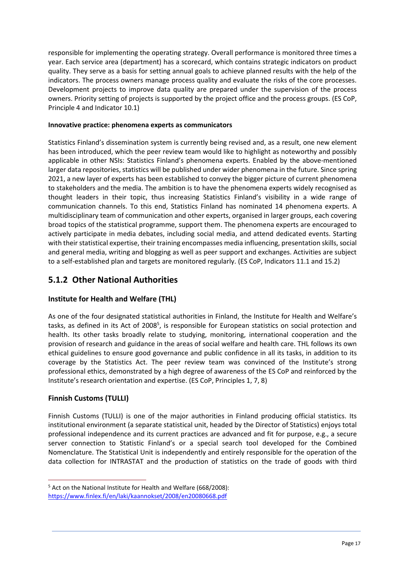responsible for implementing the operating strategy. Overall performance is monitored three times a year. Each service area (department) has a scorecard, which contains strategic indicators on product quality. They serve as a basis for setting annual goals to achieve planned results with the help of the indicators. The process owners manage process quality and evaluate the risks of the core processes. Development projects to improve data quality are prepared under the supervision of the process owners. Priority setting of projects is supported by the project office and the process groups. (ES CoP, Principle 4 and Indicator 10.1)

#### **Innovative practice: phenomena experts as communicators**

Statistics Finland's dissemination system is currently being revised and, as a result, one new element has been introduced, which the peer review team would like to highlight as noteworthy and possibly applicable in other NSIs: Statistics Finland's phenomena experts. Enabled by the above-mentioned larger data repositories, statistics will be published under wider phenomena in the future. Since spring 2021, a new layer of experts has been established to convey the bigger picture of current phenomena to stakeholders and the media. The ambition is to have the phenomena experts widely recognised as thought leaders in their topic, thus increasing Statistics Finland's visibility in a wide range of communication channels. To this end, Statistics Finland has nominated 14 phenomena experts. A multidisciplinary team of communication and other experts, organised in larger groups, each covering broad topics of the statistical programme, support them. The phenomena experts are encouraged to actively participate in media debates, including social media, and attend dedicated events. Starting with their statistical expertise, their training encompasses media influencing, presentation skills, social and general media, writing and blogging as well as peer support and exchanges. Activities are subject to a self-established plan and targets are monitored regularly. (ES CoP, Indicators 11.1 and 15.2)

### **5.1.2 Other National Authorities**

#### **Institute for Health and Welfare (THL)**

As one of the four designated statistical authorities in Finland, the Institute for Health and Welfare's tasks, as defined in its Act of 2008<sup>5</sup>, is responsible for European statistics on social protection and health. Its other tasks broadly relate to studying, monitoring, international cooperation and the provision of research and guidance in the areas of social welfare and health care. THL follows its own ethical guidelines to ensure good governance and public confidence in all its tasks, in addition to its coverage by the Statistics Act. The peer review team was convinced of the Institute's strong professional ethics, demonstrated by a high degree of awareness of the ES CoP and reinforced by the Institute's research orientation and expertise. (ES CoP, Principles 1, 7, 8)

#### **Finnish Customs (TULLI)**

 $\overline{a}$ 

Finnish Customs (TULLI) is one of the major authorities in Finland producing official statistics. Its institutional environment (a separate statistical unit, headed by the Director of Statistics) enjoys total professional independence and its current practices are advanced and fit for purpose, e.g., a secure server connection to Statistic Finland's or a special search tool developed for the Combined Nomenclature. The Statistical Unit is independently and entirely responsible for the operation of the data collection for INTRASTAT and the production of statistics on the trade of goods with third

<sup>5</sup> Act on the National Institute for Health and Welfare (668/2008): [https://www.finlex.fi/en/laki/kaannokset/2008/en20080668.pdf](about:blank)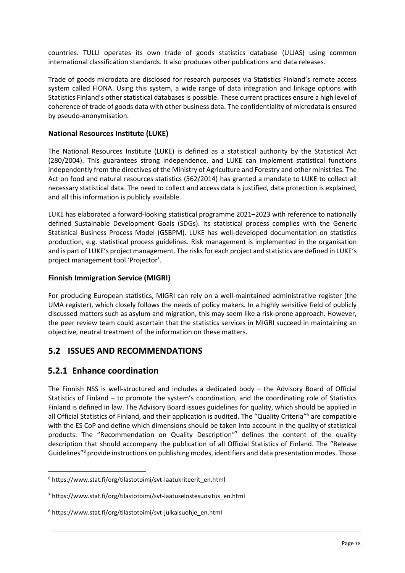countries. TULLI operates its own trade of goods statistics database (ULJAS) using common international classification standards. It also produces other publications and data releases.

Trade of goods microdata are disclosed for research purposes via Statistics Finland's remote access system called FIONA. Using this system, a wide range of data integration and linkage options with Statistics Finland's other statistical databases is possible. These current practices ensure a high level of coherence of trade of goods data with other business data. The confidentiality of microdata is ensured by pseudo-anonymisation.

#### **National Resources Institute (LUKE)**

The National Resources Institute (LUKE) is defined as a statistical authority by the Statistical Act (280/2004). This guarantees strong independence, and LUKE can implement statistical functions independently from the directives of the Ministry of Agriculture and Forestry and other ministries. The Act on food and natural resources statistics (562/2014) has granted a mandate to LUKE to collect all necessary statistical data. The need to collect and access data is justified, data protection is explained, and all this information is publicly available.

LUKE has elaborated a forward-looking statistical programme 2021–2023 with reference to nationally defined Sustainable Development Goals (SDGs). Its statistical process complies with the Generic Statistical Business Process Model (GSBPM). LUKE has well-developed documentation on statistics production, e.g. statistical process guidelines. Risk management is implemented in the organisation and is part of LUKE's project management. The risks for each project and statistics are defined in LUKE's project management tool 'Projector'.

#### **Finnish Immigration Service (MIGRI)**

For producing European statistics, MIGRI can rely on a well-maintained administrative register (the UMA register), which closely follows the needs of policy makers. In a highly sensitive field of publicly discussed matters such as asylum and migration, this may seem like a risk-prone approach. However, the peer review team could ascertain that the statistics services in MIGRI succeed in maintaining an objective, neutral treatment of the information on these matters.

### **5.2 ISSUES AND RECOMMENDATIONS**

### **5.2.1 Enhance coordination**

 $\overline{a}$ 

The Finnish NSS is well-structured and includes a dedicated body – the Advisory Board of Official Statistics of Finland – to promote the system's coordination, and the coordinating role of Statistics Finland is defined in law. The Advisory Board issues guidelines for quality, which should be applied in all Official Statistics of Finland, and their application is audited. The "Quality Criteria" <sup>6</sup> are compatible with the ES CoP and define which dimensions should be taken into account in the quality of statistical products. The "Recommendation on Quality Description"<sup>7</sup> defines the content of the quality description that should accompany the publication of all Official Statistics of Finland. The "Release Guidelines"<sup>8</sup> provide instructions on publishing modes, identifiers and data presentation modes. Those

<sup>6</sup> https://www.stat.fi/org/tilastotoimi/svt-laatukriteerit\_en.html

<sup>7</sup> https://www.stat.fi/org/tilastotoimi/svt-laatuselostesuositus\_en.html

<sup>8</sup> https://www.stat.fi/org/tilastotoimi/svt-julkaisuohje\_en.html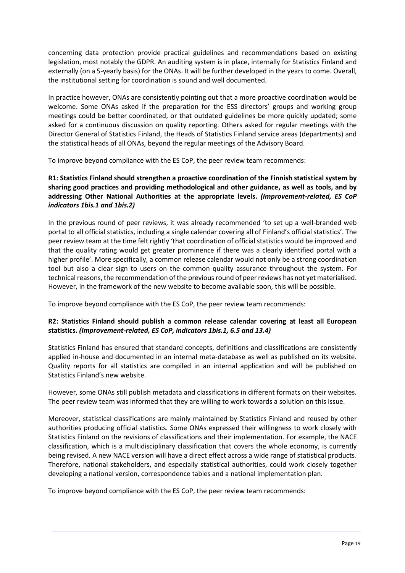concerning data protection provide practical guidelines and recommendations based on existing legislation, most notably the GDPR. An auditing system is in place, internally for Statistics Finland and externally (on a 5-yearly basis) for the ONAs. It will be further developed in the years to come. Overall, the institutional setting for coordination is sound and well documented.

In practice however, ONAs are consistently pointing out that a more proactive coordination would be welcome. Some ONAs asked if the preparation for the ESS directors' groups and working group meetings could be better coordinated, or that outdated guidelines be more quickly updated; some asked for a continuous discussion on quality reporting. Others asked for regular meetings with the Director General of Statistics Finland, the Heads of Statistics Finland service areas (departments) and the statistical heads of all ONAs, beyond the regular meetings of the Advisory Board.

To improve beyond compliance with the ES CoP, the peer review team recommends:

#### **R1: Statistics Finland should strengthen a proactive coordination of the Finnish statistical system by sharing good practices and providing methodological and other guidance, as well as tools, and by addressing Other National Authorities at the appropriate levels.** *(Improvement-related, ES CoP indicators 1bis.1 and 1bis.2)*

In the previous round of peer reviews, it was already recommended 'to set up a well-branded web portal to all official statistics, including a single calendar covering all of Finland's official statistics'. The peer review team at the time felt rightly 'that coordination of official statistics would be improved and that the quality rating would get greater prominence if there was a clearly identified portal with a higher profile'. More specifically, a common release calendar would not only be a strong coordination tool but also a clear sign to users on the common quality assurance throughout the system. For technical reasons, the recommendation of the previous round of peer reviews has not yet materialised. However, in the framework of the new website to become available soon, this will be possible.

To improve beyond compliance with the ES CoP, the peer review team recommends:

#### **R2: Statistics Finland should publish a common release calendar covering at least all European statistics.** *(Improvement-related, ES CoP, indicators 1bis.1, 6.5 and 13.4)*

Statistics Finland has ensured that standard concepts, definitions and classifications are consistently applied in-house and documented in an internal meta-database as well as published on its website. Quality reports for all statistics are compiled in an internal application and will be published on Statistics Finland's new website.

However, some ONAs still publish metadata and classifications in different formats on their websites. The peer review team was informed that they are willing to work towards a solution on this issue.

Moreover, statistical classifications are mainly maintained by Statistics Finland and reused by other authorities producing official statistics. Some ONAs expressed their willingness to work closely with Statistics Finland on the revisions of classifications and their implementation. For example, the NACE classification, which is a multidisciplinary classification that covers the whole economy, is currently being revised. A new NACE version will have a direct effect across a wide range of statistical products. Therefore, national stakeholders, and especially statistical authorities, could work closely together developing a national version, correspondence tables and a national implementation plan.

To improve beyond compliance with the ES CoP, the peer review team recommends: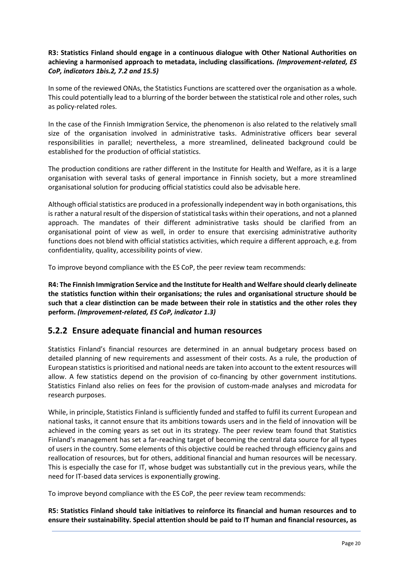#### **R3: Statistics Finland should engage in a continuous dialogue with Other National Authorities on achieving a harmonised approach to metadata, including classifications.** *(Improvement-related, ES CoP, indicators 1bis.2, 7.2 and 15.5)*

In some of the reviewed ONAs, the Statistics Functions are scattered over the organisation as a whole. This could potentially lead to a blurring of the border between the statistical role and other roles, such as policy-related roles.

In the case of the Finnish Immigration Service, the phenomenon is also related to the relatively small size of the organisation involved in administrative tasks. Administrative officers bear several responsibilities in parallel; nevertheless, a more streamlined, delineated background could be established for the production of official statistics.

The production conditions are rather different in the Institute for Health and Welfare, as it is a large organisation with several tasks of general importance in Finnish society, but a more streamlined organisational solution for producing official statistics could also be advisable here.

Although official statistics are produced in a professionally independent way in both organisations, this is rather a natural result of the dispersion of statistical tasks within their operations, and not a planned approach. The mandates of their different administrative tasks should be clarified from an organisational point of view as well, in order to ensure that exercising administrative authority functions does not blend with official statistics activities, which require a different approach, e.g. from confidentiality, quality, accessibility points of view.

To improve beyond compliance with the ES CoP, the peer review team recommends:

**R4: The Finnish Immigration Service and the Institute for Health and Welfare should clearly delineate the statistics function within their organisations; the rules and organisational structure should be such that a clear distinction can be made between their role in statistics and the other roles they perform.** *(Improvement-related, ES CoP, indicator 1.3)*

### **5.2.2 Ensure adequate financial and human resources**

Statistics Finland's financial resources are determined in an annual budgetary process based on detailed planning of new requirements and assessment of their costs. As a rule, the production of European statistics is prioritised and national needs are taken into account to the extent resources will allow. A few statistics depend on the provision of co-financing by other government institutions. Statistics Finland also relies on fees for the provision of custom-made analyses and microdata for research purposes.

While, in principle, Statistics Finland is sufficiently funded and staffed to fulfil its current European and national tasks, it cannot ensure that its ambitions towards users and in the field of innovation will be achieved in the coming years as set out in its strategy. The peer review team found that Statistics Finland's management has set a far-reaching target of becoming the central data source for all types of users in the country. Some elements of this objective could be reached through efficiency gains and reallocation of resources, but for others, additional financial and human resources will be necessary. This is especially the case for IT, whose budget was substantially cut in the previous years, while the need for IT-based data services is exponentially growing.

To improve beyond compliance with the ES CoP, the peer review team recommends:

**R5: Statistics Finland should take initiatives to reinforce its financial and human resources and to ensure their sustainability. Special attention should be paid to IT human and financial resources, as**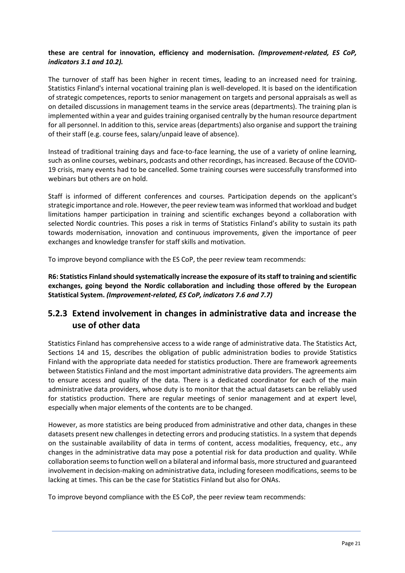#### **these are central for innovation, efficiency and modernisation.** *(Improvement-related, ES CoP, indicators 3.1 and 10.2).*

The turnover of staff has been higher in recent times, leading to an increased need for training. Statistics Finland's internal vocational training plan is well-developed. It is based on the identification of strategic competences, reports to senior management on targets and personal appraisals as well as on detailed discussions in management teams in the service areas (departments). The training plan is implemented within a year and guides training organised centrally by the human resource department for all personnel. In addition to this, service areas (departments) also organise and support the training of their staff (e.g. course fees, salary/unpaid leave of absence).

Instead of traditional training days and face-to-face learning, the use of a variety of online learning, such as online courses, webinars, podcasts and other recordings, has increased. Because of the COVID-19 crisis, many events had to be cancelled. Some training courses were successfully transformed into webinars but others are on hold.

Staff is informed of different conferences and courses. Participation depends on the applicant's strategic importance and role. However, the peer review team was informed that workload and budget limitations hamper participation in training and scientific exchanges beyond a collaboration with selected Nordic countries. This poses a risk in terms of Statistics Finland's ability to sustain its path towards modernisation, innovation and continuous improvements, given the importance of peer exchanges and knowledge transfer for staff skills and motivation.

To improve beyond compliance with the ES CoP, the peer review team recommends:

**R6: Statistics Finland should systematically increase the exposure of its staff to training and scientific exchanges, going beyond the Nordic collaboration and including those offered by the European Statistical System.** *(Improvement-related, ES CoP, indicators 7.6 and 7.7)*

### **5.2.3 Extend involvement in changes in administrative data and increase the use of other data**

Statistics Finland has comprehensive access to a wide range of administrative data. The Statistics Act, Sections 14 and 15, describes the obligation of public administration bodies to provide Statistics Finland with the appropriate data needed for statistics production. There are framework agreements between Statistics Finland and the most important administrative data providers. The agreements aim to ensure access and quality of the data. There is a dedicated coordinator for each of the main administrative data providers, whose duty is to monitor that the actual datasets can be reliably used for statistics production. There are regular meetings of senior management and at expert level, especially when major elements of the contents are to be changed.

However, as more statistics are being produced from administrative and other data, changes in these datasets present new challenges in detecting errors and producing statistics. In a system that depends on the sustainable availability of data in terms of content, access modalities, frequency, etc., any changes in the administrative data may pose a potential risk for data production and quality. While collaboration seems to function well on a bilateral and informal basis, more structured and guaranteed involvement in decision-making on administrative data, including foreseen modifications, seems to be lacking at times. This can be the case for Statistics Finland but also for ONAs.

To improve beyond compliance with the ES CoP, the peer review team recommends: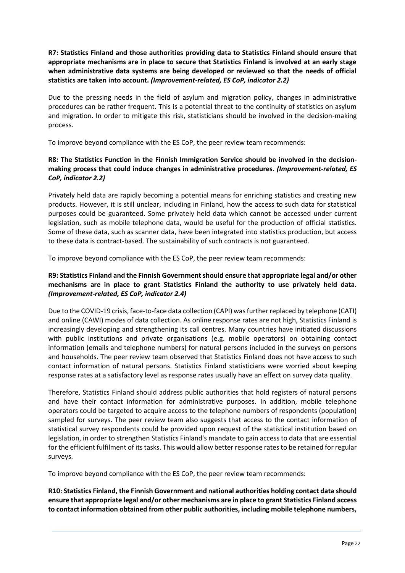**R7: Statistics Finland and those authorities providing data to Statistics Finland should ensure that appropriate mechanisms are in place to secure that Statistics Finland is involved at an early stage when administrative data systems are being developed or reviewed so that the needs of official statistics are taken into account.** *(Improvement-related, ES CoP, indicator 2.2)*

Due to the pressing needs in the field of asylum and migration policy, changes in administrative procedures can be rather frequent. This is a potential threat to the continuity of statistics on asylum and migration. In order to mitigate this risk, statisticians should be involved in the decision-making process.

To improve beyond compliance with the ES CoP, the peer review team recommends:

#### **R8: The Statistics Function in the Finnish Immigration Service should be involved in the decisionmaking process that could induce changes in administrative procedures.** *(Improvement-related, ES CoP, indicator 2.2)*

Privately held data are rapidly becoming a potential means for enriching statistics and creating new products. However, it is still unclear, including in Finland, how the access to such data for statistical purposes could be guaranteed. Some privately held data which cannot be accessed under current legislation, such as mobile telephone data, would be useful for the production of official statistics. Some of these data, such as scanner data, have been integrated into statistics production, but access to these data is contract-based. The sustainability of such contracts is not guaranteed.

To improve beyond compliance with the ES CoP, the peer review team recommends:

#### **R9: Statistics Finland and the Finnish Governmentshould ensure that appropriate legal and/or other mechanisms are in place to grant Statistics Finland the authority to use privately held data.** *(Improvement-related, ES CoP, indicator 2.4)*

Due to the COVID-19 crisis, face-to-face data collection (CAPI) was further replaced by telephone (CATI) and online (CAWI) modes of data collection. As online response rates are not high, Statistics Finland is increasingly developing and strengthening its call centres. Many countries have initiated discussions with public institutions and private organisations (e.g. mobile operators) on obtaining contact information (emails and telephone numbers) for natural persons included in the surveys on persons and households. The peer review team observed that Statistics Finland does not have access to such contact information of natural persons. Statistics Finland statisticians were worried about keeping response rates at a satisfactory level as response rates usually have an effect on survey data quality.

Therefore, Statistics Finland should address public authorities that hold registers of natural persons and have their contact information for administrative purposes. In addition, mobile telephone operators could be targeted to acquire access to the telephone numbers of respondents (population) sampled for surveys. The peer review team also suggests that access to the contact information of statistical survey respondents could be provided upon request of the statistical institution based on legislation, in order to strengthen Statistics Finland's mandate to gain access to data that are essential for the efficient fulfilment of its tasks. This would allow better response rates to be retained for regular surveys.

To improve beyond compliance with the ES CoP, the peer review team recommends:

**R10: Statistics Finland, the Finnish Government and national authorities holding contact data should ensure that appropriate legal and/or other mechanisms are in place to grant Statistics Finland access to contact information obtained from other public authorities, including mobile telephone numbers,**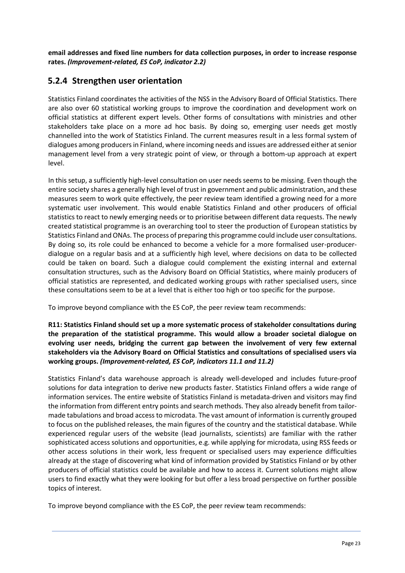**email addresses and fixed line numbers for data collection purposes, in order to increase response rates.** *(Improvement-related, ES CoP, indicator 2.2)*

### **5.2.4 Strengthen user orientation**

Statistics Finland coordinates the activities of the NSS in the Advisory Board of Official Statistics. There are also over 60 statistical working groups to improve the coordination and development work on official statistics at different expert levels. Other forms of consultations with ministries and other stakeholders take place on a more ad hoc basis. By doing so, emerging user needs get mostly channelled into the work of Statistics Finland. The current measures result in a less formal system of dialogues among producersin Finland, where incoming needs and issues are addressed either at senior management level from a very strategic point of view, or through a bottom-up approach at expert level.

In this setup, a sufficiently high-level consultation on user needs seems to be missing. Even though the entire society shares a generally high level of trust in government and public administration, and these measures seem to work quite effectively, the peer review team identified a growing need for a more systematic user involvement. This would enable Statistics Finland and other producers of official statistics to react to newly emerging needs or to prioritise between different data requests. The newly created statistical programme is an overarching tool to steer the production of European statistics by Statistics Finland and ONAs. The process of preparing this programme could include user consultations. By doing so, its role could be enhanced to become a vehicle for a more formalised user-producerdialogue on a regular basis and at a sufficiently high level, where decisions on data to be collected could be taken on board. Such a dialogue could complement the existing internal and external consultation structures, such as the Advisory Board on Official Statistics, where mainly producers of official statistics are represented, and dedicated working groups with rather specialised users, since these consultations seem to be at a level that is either too high or too specific for the purpose.

To improve beyond compliance with the ES CoP, the peer review team recommends:

#### **R11: Statistics Finland should set up a more systematic process of stakeholder consultations during the preparation of the statistical programme. This would allow a broader societal dialogue on evolving user needs, bridging the current gap between the involvement of very few external stakeholders via the Advisory Board on Official Statistics and consultations of specialised users via working groups.** *(Improvement-related, ES CoP, indicators 11.1 and 11.2)*

Statistics Finland's data warehouse approach is already well-developed and includes future-proof solutions for data integration to derive new products faster. Statistics Finland offers a wide range of information services. The entire website of Statistics Finland is metadata-driven and visitors may find the information from different entry points and search methods. They also already benefit from tailormade tabulations and broad access to microdata. The vast amount of information is currently grouped to focus on the published releases, the main figures of the country and the statistical database. While experienced regular users of the website (lead journalists, scientists) are familiar with the rather sophisticated access solutions and opportunities, e.g. while applying for microdata, using RSS feeds or other access solutions in their work, less frequent or specialised users may experience difficulties already at the stage of discovering what kind of information provided by Statistics Finland or by other producers of official statistics could be available and how to access it. Current solutions might allow users to find exactly what they were looking for but offer a less broad perspective on further possible topics of interest.

To improve beyond compliance with the ES CoP, the peer review team recommends: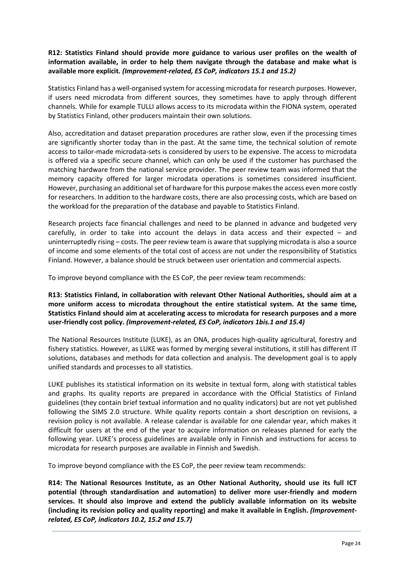#### **R12: Statistics Finland should provide more guidance to various user profiles on the wealth of information available, in order to help them navigate through the database and make what is available more explicit***. (Improvement-related, ES CoP, indicators 15.1 and 15.2)*

Statistics Finland has a well-organised system for accessing microdata for research purposes. However, if users need microdata from different sources, they sometimes have to apply through different channels. While for example TULLI allows access to its microdata within the FIONA system, operated by Statistics Finland, other producers maintain their own solutions.

Also, accreditation and dataset preparation procedures are rather slow, even if the processing times are significantly shorter today than in the past. At the same time, the technical solution of remote access to tailor-made microdata-sets is considered by users to be expensive. The access to microdata is offered via a specific secure channel, which can only be used if the customer has purchased the matching hardware from the national service provider. The peer review team was informed that the memory capacity offered for larger microdata operations is sometimes considered insufficient. However, purchasing an additional set of hardware for this purpose makes the access even more costly for researchers. In addition to the hardware costs, there are also processing costs, which are based on the workload for the preparation of the database and payable to Statistics Finland.

Research projects face financial challenges and need to be planned in advance and budgeted very carefully, in order to take into account the delays in data access and their expected – and uninterruptedly rising – costs. The peer review team is aware that supplying microdata is also a source of income and some elements of the total cost of access are not under the responsibility of Statistics Finland. However, a balance should be struck between user orientation and commercial aspects.

To improve beyond compliance with the ES CoP, the peer review team recommends:

**R13: Statistics Finland, in collaboration with relevant Other National Authorities, should aim at a more uniform access to microdata throughout the entire statistical system. At the same time, Statistics Finland should aim at accelerating access to microdata for research purposes and a more user-friendly cost policy.** *(Improvement-related, ES CoP, indicators 1bis.1 and 15.4)*

The National Resources Institute (LUKE), as an ONA, produces high-quality agricultural, forestry and fishery statistics. However, as LUKE was formed by merging several institutions, it still has different IT solutions, databases and methods for data collection and analysis. The development goal is to apply unified standards and processes to all statistics.

LUKE publishes its statistical information on its website in textual form, along with statistical tables and graphs. Its quality reports are prepared in accordance with the Official Statistics of Finland guidelines (they contain brief textual information and no quality indicators) but are not yet published following the SIMS 2.0 structure. While quality reports contain a short description on revisions, a revision policy is not available. A release calendar is available for one calendar year, which makes it difficult for users at the end of the year to acquire information on releases planned for early the following year. LUKE's process guidelines are available only in Finnish and instructions for access to microdata for research purposes are available in Finnish and Swedish.

To improve beyond compliance with the ES CoP, the peer review team recommends:

**R14: The National Resources Institute, as an Other National Authority, should use its full ICT potential (through standardisation and automation) to deliver more user-friendly and modern services. It should also improve and extend the publicly available information on its website (including its revision policy and quality reporting) and make it available in English.** *(Improvementrelated, ES CoP, indicators 10.2, 15.2 and 15.7)*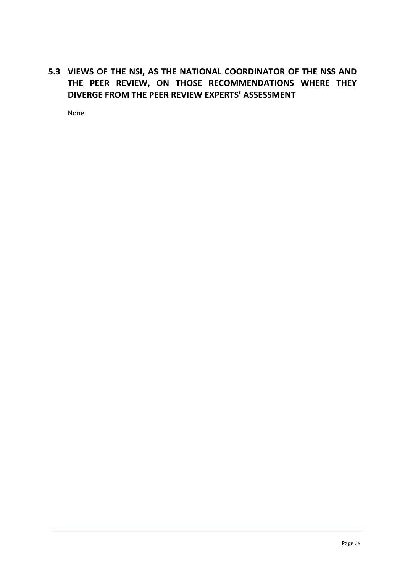## **5.3 VIEWS OF THE NSI, AS THE NATIONAL COORDINATOR OF THE NSS AND THE PEER REVIEW, ON THOSE RECOMMENDATIONS WHERE THEY DIVERGE FROM THE PEER REVIEW EXPERTS' ASSESSMENT**

None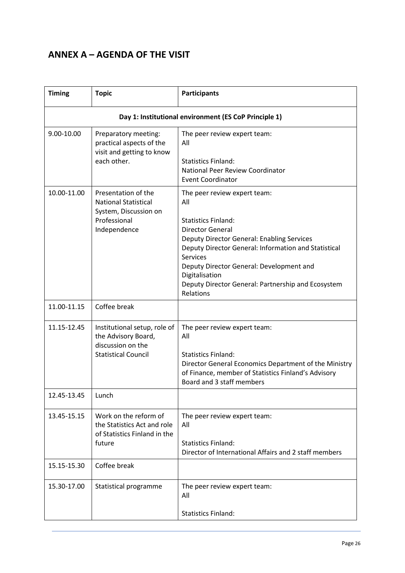# **ANNEX A – AGENDA OF THE VISIT**

| <b>Timing</b> | <b>Topic</b>                                                                                                | <b>Participants</b>                                                                                                                                                                                                                                                                                                                                           |
|---------------|-------------------------------------------------------------------------------------------------------------|---------------------------------------------------------------------------------------------------------------------------------------------------------------------------------------------------------------------------------------------------------------------------------------------------------------------------------------------------------------|
|               |                                                                                                             | Day 1: Institutional environment (ES CoP Principle 1)                                                                                                                                                                                                                                                                                                         |
| 9.00-10.00    | Preparatory meeting:<br>practical aspects of the<br>visit and getting to know<br>each other.                | The peer review expert team:<br>All<br><b>Statistics Finland:</b><br>National Peer Review Coordinator<br><b>Event Coordinator</b>                                                                                                                                                                                                                             |
| 10.00-11.00   | Presentation of the<br><b>National Statistical</b><br>System, Discussion on<br>Professional<br>Independence | The peer review expert team:<br>All<br><b>Statistics Finland:</b><br><b>Director General</b><br><b>Deputy Director General: Enabling Services</b><br>Deputy Director General: Information and Statistical<br><b>Services</b><br>Deputy Director General: Development and<br>Digitalisation<br>Deputy Director General: Partnership and Ecosystem<br>Relations |
| 11.00-11.15   | Coffee break                                                                                                |                                                                                                                                                                                                                                                                                                                                                               |
| 11.15-12.45   | Institutional setup, role of<br>the Advisory Board,<br>discussion on the<br><b>Statistical Council</b>      | The peer review expert team:<br>All<br><b>Statistics Finland:</b><br>Director General Economics Department of the Ministry<br>of Finance, member of Statistics Finland's Advisory<br>Board and 3 staff members                                                                                                                                                |
| 12.45-13.45   | Lunch                                                                                                       |                                                                                                                                                                                                                                                                                                                                                               |
| 13.45-15.15   | Work on the reform of<br>the Statistics Act and role<br>of Statistics Finland in the<br>future              | The peer review expert team:<br>All<br><b>Statistics Finland:</b><br>Director of International Affairs and 2 staff members                                                                                                                                                                                                                                    |
| 15.15-15.30   | Coffee break                                                                                                |                                                                                                                                                                                                                                                                                                                                                               |
| 15.30-17.00   | Statistical programme                                                                                       | The peer review expert team:<br>All                                                                                                                                                                                                                                                                                                                           |
|               |                                                                                                             | <b>Statistics Finland:</b>                                                                                                                                                                                                                                                                                                                                    |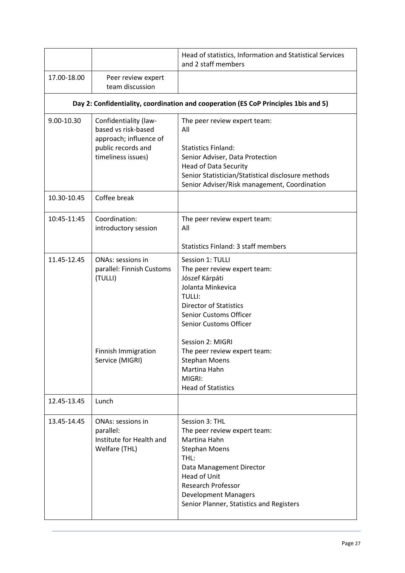|             |                                                                                                                    | Head of statistics, Information and Statistical Services<br>and 2 staff members                                                                                                                                                                           |  |  |
|-------------|--------------------------------------------------------------------------------------------------------------------|-----------------------------------------------------------------------------------------------------------------------------------------------------------------------------------------------------------------------------------------------------------|--|--|
| 17.00-18.00 | Peer review expert<br>team discussion                                                                              |                                                                                                                                                                                                                                                           |  |  |
|             | Day 2: Confidentiality, coordination and cooperation (ES CoP Principles 1bis and 5)                                |                                                                                                                                                                                                                                                           |  |  |
| 9.00-10.30  | Confidentiality (law-<br>based vs risk-based<br>approach; influence of<br>public records and<br>timeliness issues) | The peer review expert team:<br>All<br><b>Statistics Finland:</b><br>Senior Adviser, Data Protection<br><b>Head of Data Security</b><br>Senior Statistician/Statistical disclosure methods<br>Senior Adviser/Risk management, Coordination                |  |  |
| 10.30-10.45 | Coffee break                                                                                                       |                                                                                                                                                                                                                                                           |  |  |
| 10:45-11:45 | Coordination:<br>introductory session                                                                              | The peer review expert team:<br>All<br><b>Statistics Finland: 3 staff members</b>                                                                                                                                                                         |  |  |
| 11.45-12.45 | <b>ONAs: sessions in</b><br>parallel: Finnish Customs<br>(TULLI)                                                   | Session 1: TULLI<br>The peer review expert team:<br>Jószef Kárpáti<br>Jolanta Minkevica<br><b>TULLI:</b><br><b>Director of Statistics</b><br><b>Senior Customs Officer</b><br>Senior Customs Officer                                                      |  |  |
|             | Finnish Immigration<br>Service (MIGRI)                                                                             | Session 2: MIGRI<br>The peer review expert team:<br><b>Stephan Moens</b><br>Martina Hahn<br>MIGRI:<br><b>Head of Statistics</b>                                                                                                                           |  |  |
| 12.45-13.45 | Lunch                                                                                                              |                                                                                                                                                                                                                                                           |  |  |
| 13.45-14.45 | <b>ONAs: sessions in</b><br>parallel:<br>Institute for Health and<br>Welfare (THL)                                 | Session 3: THL<br>The peer review expert team:<br>Martina Hahn<br><b>Stephan Moens</b><br>THL:<br>Data Management Director<br><b>Head of Unit</b><br><b>Research Professor</b><br><b>Development Managers</b><br>Senior Planner, Statistics and Registers |  |  |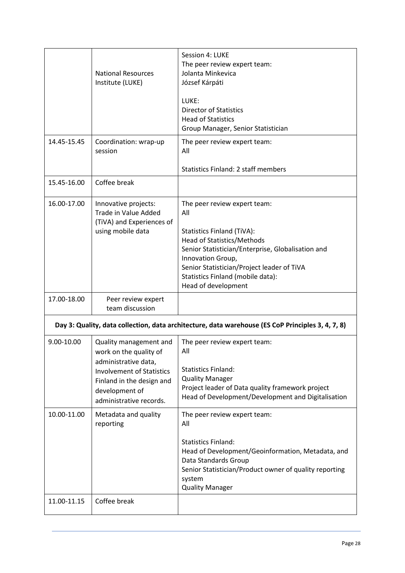|             | <b>National Resources</b><br>Institute (LUKE)                                                                                                                                          | Session 4: LUKE<br>The peer review expert team:<br>Jolanta Minkevica<br>József Kárpáti<br>LUKE:<br><b>Director of Statistics</b><br><b>Head of Statistics</b><br>Group Manager, Senior Statistician                                                                                        |
|-------------|----------------------------------------------------------------------------------------------------------------------------------------------------------------------------------------|--------------------------------------------------------------------------------------------------------------------------------------------------------------------------------------------------------------------------------------------------------------------------------------------|
| 14.45-15.45 | Coordination: wrap-up<br>session                                                                                                                                                       | The peer review expert team:<br>All<br><b>Statistics Finland: 2 staff members</b>                                                                                                                                                                                                          |
| 15.45-16.00 | Coffee break                                                                                                                                                                           |                                                                                                                                                                                                                                                                                            |
| 16.00-17.00 | Innovative projects:<br>Trade in Value Added<br>(TiVA) and Experiences of<br>using mobile data                                                                                         | The peer review expert team:<br>All<br><b>Statistics Finland (TiVA):</b><br>Head of Statistics/Methods<br>Senior Statistician/Enterprise, Globalisation and<br>Innovation Group,<br>Senior Statistician/Project leader of TiVA<br>Statistics Finland (mobile data):<br>Head of development |
| 17.00-18.00 | Peer review expert<br>team discussion                                                                                                                                                  |                                                                                                                                                                                                                                                                                            |
|             |                                                                                                                                                                                        | Day 3: Quality, data collection, data architecture, data warehouse (ES CoP Principles 3, 4, 7, 8)                                                                                                                                                                                          |
| 9.00-10.00  | Quality management and<br>work on the quality of<br>administrative data,<br><b>Involvement of Statistics</b><br>Finland in the design and<br>development of<br>administrative records. | The peer review expert team:<br>All<br><b>Statistics Finland:</b><br><b>Quality Manager</b><br>Project leader of Data quality framework project<br>Head of Development/Development and Digitalisation                                                                                      |
| 10.00-11.00 | Metadata and quality<br>reporting                                                                                                                                                      | The peer review expert team:<br>All<br><b>Statistics Finland:</b><br>Head of Development/Geoinformation, Metadata, and<br>Data Standards Group<br>Senior Statistician/Product owner of quality reporting<br>system<br><b>Quality Manager</b>                                               |
| 11.00-11.15 | Coffee break                                                                                                                                                                           |                                                                                                                                                                                                                                                                                            |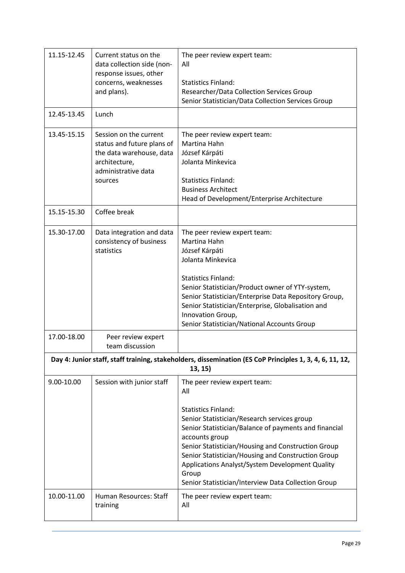| 11.15-12.45 | Current status on the<br>data collection side (non-<br>response issues, other<br>concerns, weaknesses<br>and plans).                | The peer review expert team:<br>All<br><b>Statistics Finland:</b><br>Researcher/Data Collection Services Group<br>Senior Statistician/Data Collection Services Group                                                                                                                                                                                                                                                       |
|-------------|-------------------------------------------------------------------------------------------------------------------------------------|----------------------------------------------------------------------------------------------------------------------------------------------------------------------------------------------------------------------------------------------------------------------------------------------------------------------------------------------------------------------------------------------------------------------------|
| 12.45-13.45 | Lunch                                                                                                                               |                                                                                                                                                                                                                                                                                                                                                                                                                            |
| 13.45-15.15 | Session on the current<br>status and future plans of<br>the data warehouse, data<br>architecture,<br>administrative data<br>sources | The peer review expert team:<br>Martina Hahn<br>József Kárpáti<br>Jolanta Minkevica<br><b>Statistics Finland:</b><br><b>Business Architect</b><br>Head of Development/Enterprise Architecture                                                                                                                                                                                                                              |
| 15.15-15.30 | Coffee break                                                                                                                        |                                                                                                                                                                                                                                                                                                                                                                                                                            |
| 15.30-17.00 | Data integration and data<br>consistency of business<br>statistics                                                                  | The peer review expert team:<br>Martina Hahn<br>József Kárpáti<br>Jolanta Minkevica<br><b>Statistics Finland:</b><br>Senior Statistician/Product owner of YTY-system,<br>Senior Statistician/Enterprise Data Repository Group,<br>Senior Statistician/Enterprise, Globalisation and<br>Innovation Group,<br>Senior Statistician/National Accounts Group                                                                    |
| 17.00-18.00 | Peer review expert<br>team discussion                                                                                               |                                                                                                                                                                                                                                                                                                                                                                                                                            |
|             |                                                                                                                                     | Day 4: Junior staff, staff training, stakeholders, dissemination (ES CoP Principles 1, 3, 4, 6, 11, 12,<br>13, 15)                                                                                                                                                                                                                                                                                                         |
| 9.00-10.00  | Session with junior staff                                                                                                           | The peer review expert team:<br>All<br><b>Statistics Finland:</b><br>Senior Statistician/Research services group<br>Senior Statistician/Balance of payments and financial<br>accounts group<br>Senior Statistician/Housing and Construction Group<br>Senior Statistician/Housing and Construction Group<br>Applications Analyst/System Development Quality<br>Group<br>Senior Statistician/Interview Data Collection Group |
| 10.00-11.00 | Human Resources: Staff<br>training                                                                                                  | The peer review expert team:<br>All                                                                                                                                                                                                                                                                                                                                                                                        |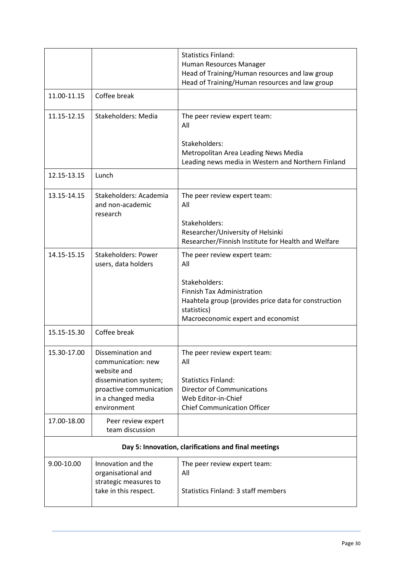|                                                      |                                                                                                                                                 | <b>Statistics Finland:</b><br>Human Resources Manager<br>Head of Training/Human resources and law group<br>Head of Training/Human resources and law group                                              |
|------------------------------------------------------|-------------------------------------------------------------------------------------------------------------------------------------------------|--------------------------------------------------------------------------------------------------------------------------------------------------------------------------------------------------------|
| 11.00-11.15                                          | Coffee break                                                                                                                                    |                                                                                                                                                                                                        |
| 11.15-12.15                                          | <b>Stakeholders: Media</b>                                                                                                                      | The peer review expert team:<br>All                                                                                                                                                                    |
|                                                      |                                                                                                                                                 | Stakeholders:<br>Metropolitan Area Leading News Media<br>Leading news media in Western and Northern Finland                                                                                            |
| 12.15-13.15                                          | Lunch                                                                                                                                           |                                                                                                                                                                                                        |
| 13.15-14.15                                          | Stakeholders: Academia<br>and non-academic<br>research                                                                                          | The peer review expert team:<br>All<br>Stakeholders:<br>Researcher/University of Helsinki<br>Researcher/Finnish Institute for Health and Welfare                                                       |
| 14.15-15.15                                          | <b>Stakeholders: Power</b><br>users, data holders                                                                                               | The peer review expert team:<br>All<br>Stakeholders:<br><b>Finnish Tax Administration</b><br>Haahtela group (provides price data for construction<br>statistics)<br>Macroeconomic expert and economist |
| 15.15-15.30                                          | Coffee break                                                                                                                                    |                                                                                                                                                                                                        |
| 15.30-17.00                                          | Dissemination and<br>communication: new<br>website and<br>dissemination system;<br>proactive communication<br>in a changed media<br>environment | The peer review expert team:<br>All<br><b>Statistics Finland:</b><br><b>Director of Communications</b><br>Web Editor-in-Chief<br><b>Chief Communication Officer</b>                                    |
| 17.00-18.00                                          | Peer review expert<br>team discussion                                                                                                           |                                                                                                                                                                                                        |
| Day 5: Innovation, clarifications and final meetings |                                                                                                                                                 |                                                                                                                                                                                                        |
| 9.00-10.00                                           | Innovation and the<br>organisational and<br>strategic measures to<br>take in this respect.                                                      | The peer review expert team:<br>All<br><b>Statistics Finland: 3 staff members</b>                                                                                                                      |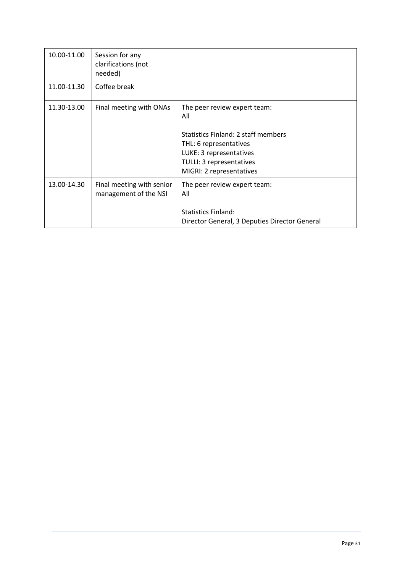| 10.00-11.00 | Session for any<br>clarifications (not<br>needed)  |                                                                                                                                                                                                |
|-------------|----------------------------------------------------|------------------------------------------------------------------------------------------------------------------------------------------------------------------------------------------------|
| 11.00-11.30 | Coffee break                                       |                                                                                                                                                                                                |
| 11.30-13.00 | Final meeting with ONAs                            | The peer review expert team:<br>All<br><b>Statistics Finland: 2 staff members</b><br>THL: 6 representatives<br>LUKE: 3 representatives<br>TULLI: 3 representatives<br>MIGRI: 2 representatives |
| 13.00-14.30 | Final meeting with senior<br>management of the NSI | The peer review expert team:<br>All<br><b>Statistics Finland:</b><br>Director General, 3 Deputies Director General                                                                             |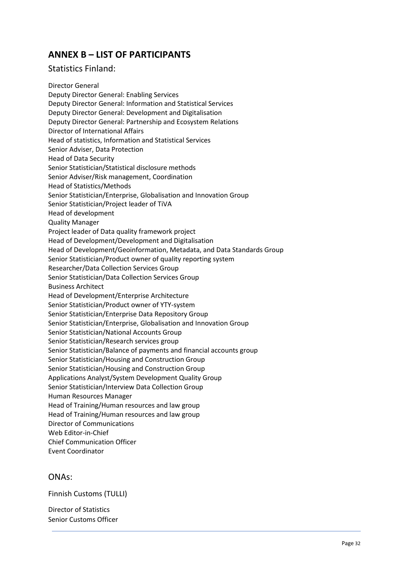# **ANNEX B – LIST OF PARTICIPANTS**

#### Statistics Finland:

Director General Deputy Director General: Enabling Services Deputy Director General: Information and Statistical Services Deputy Director General: Development and Digitalisation Deputy Director General: Partnership and Ecosystem Relations Director of International Affairs Head of statistics, Information and Statistical Services Senior Adviser, Data Protection Head of Data Security Senior Statistician/Statistical disclosure methods Senior Adviser/Risk management, Coordination Head of Statistics/Methods Senior Statistician/Enterprise, Globalisation and Innovation Group Senior Statistician/Project leader of TiVA Head of development Quality Manager Project leader of Data quality framework project Head of Development/Development and Digitalisation Head of Development/Geoinformation, Metadata, and Data Standards Group Senior Statistician/Product owner of quality reporting system Researcher/Data Collection Services Group Senior Statistician/Data Collection Services Group Business Architect Head of Development/Enterprise Architecture Senior Statistician/Product owner of YTY-system Senior Statistician/Enterprise Data Repository Group Senior Statistician/Enterprise, Globalisation and Innovation Group Senior Statistician/National Accounts Group Senior Statistician/Research services group Senior Statistician/Balance of payments and financial accounts group Senior Statistician/Housing and Construction Group Senior Statistician/Housing and Construction Group Applications Analyst/System Development Quality Group Senior Statistician/Interview Data Collection Group Human Resources Manager Head of Training/Human resources and law group Head of Training/Human resources and law group Director of Communications Web Editor-in-Chief Chief Communication Officer Event Coordinator

#### ONAs:

Finnish Customs (TULLI)

Director of Statistics Senior Customs Officer